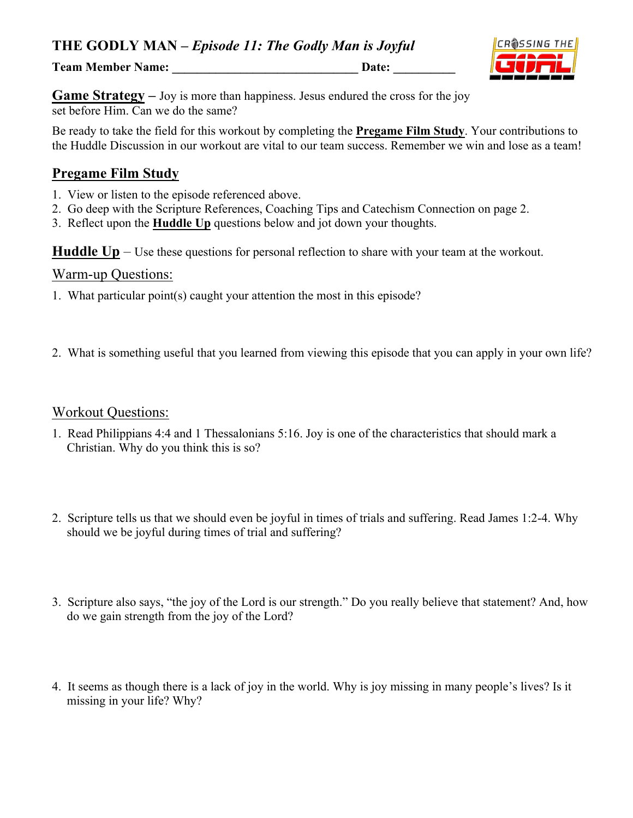**THE GODLY MAN –** *Episode 11: The Godly Man is Joyful*

**Team Member Name: \_\_\_\_\_\_\_\_\_\_\_\_\_\_\_\_\_\_\_\_\_\_\_\_\_\_\_\_\_\_ Date: \_\_\_\_\_\_\_\_\_\_**



**Game Strategy** – Joy is more than happiness. Jesus endured the cross for the joy set before Him. Can we do the same?

Be ready to take the field for this workout by completing the **Pregame Film Study**. Your contributions to the Huddle Discussion in our workout are vital to our team success. Remember we win and lose as a team!

## **Pregame Film Study**

- 1. View or listen to the episode referenced above.
- 2. Go deep with the Scripture References, Coaching Tips and Catechism Connection on page 2.
- 3. Reflect upon the **Huddle Up** questions below and jot down your thoughts.

**Huddle Up** – Use these questions for personal reflection to share with your team at the workout.

#### Warm-up Questions:

- 1. What particular point(s) caught your attention the most in this episode?
- 2. What is something useful that you learned from viewing this episode that you can apply in your own life?

#### Workout Questions:

- 1. Read Philippians 4:4 and 1 Thessalonians 5:16. Joy is one of the characteristics that should mark a Christian. Why do you think this is so?
- 2. Scripture tells us that we should even be joyful in times of trials and suffering. Read James 1:2-4. Why should we be joyful during times of trial and suffering?
- 3. Scripture also says, "the joy of the Lord is our strength." Do you really believe that statement? And, how do we gain strength from the joy of the Lord?
- 4. It seems as though there is a lack of joy in the world. Why is joy missing in many people's lives? Is it missing in your life? Why?